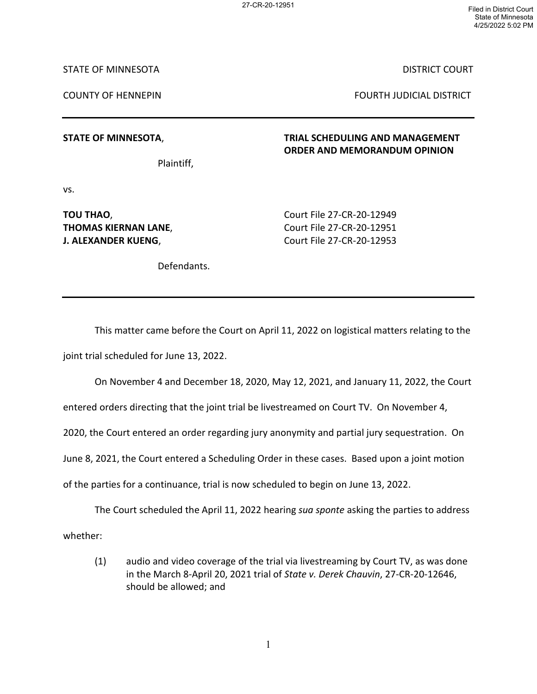27-CR-20-12951 Filed in District Court State of Minnesota 4/25/2022 5:02 PM

STATE OF MINNESOTA DISTRICT COURT

COUNTY OF HENNEPIN FOURTH JUDICIAL DISTRICT

**STATE OF MINNESOTA**, **TRIAL SCHEDULING AND MANAGEMENT ORDER AND MEMORANDUM OPINION**

Plaintiff,

vs.

**J. ALEXANDER KUENG, Sand Court File 27-CR-20-12953** 

**TOU THAO**, Court File 27-CR-20-12949 **THOMAS KIERNAN LANE,** Court File 27-CR-20-12951

Defendants.

This matter came before the Court on April 11, 2022 on logistical matters relating to the joint trial scheduled for June 13, 2022.

On November 4 and December 18, 2020, May 12, 2021, and January 11, 2022, the Court

entered orders directing that the joint trial be livestreamed on Court TV. On November 4,

2020, the Court entered an order regarding jury anonymity and partial jury sequestration. On

June 8, 2021, the Court entered a Scheduling Order in these cases. Based upon a joint motion

of the parties for a continuance, trial is now scheduled to begin on June 13, 2022.

The Court scheduled the April 11, 2022 hearing *sua sponte* asking the parties to address whether:

(1) audio and video coverage of the trial via livestreaming by Court TV, as was done in the March 8-April 20, 2021 trial of *State v. Derek Chauvin*, 27-CR-20-12646, should be allowed; and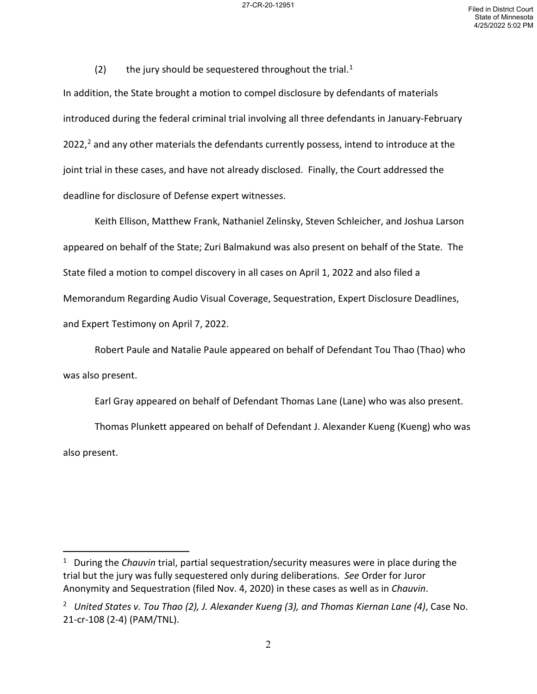(2) the jury should be sequestered throughout the trial.<sup>[1](#page-1-0)</sup>

In addition, the State brought a motion to compel disclosure by defendants of materials introduced during the federal criminal trial involving all three defendants in January-February [2](#page-1-1)022, $<sup>2</sup>$  and any other materials the defendants currently possess, intend to introduce at the</sup> joint trial in these cases, and have not already disclosed. Finally, the Court addressed the deadline for disclosure of Defense expert witnesses.

Keith Ellison, Matthew Frank, Nathaniel Zelinsky, Steven Schleicher, and Joshua Larson appeared on behalf of the State; Zuri Balmakund was also present on behalf of the State. The State filed a motion to compel discovery in all cases on April 1, 2022 and also filed a Memorandum Regarding Audio Visual Coverage, Sequestration, Expert Disclosure Deadlines, and Expert Testimony on April 7, 2022.

Robert Paule and Natalie Paule appeared on behalf of Defendant Tou Thao (Thao) who was also present.

Earl Gray appeared on behalf of Defendant Thomas Lane (Lane) who was also present.

Thomas Plunkett appeared on behalf of Defendant J. Alexander Kueng (Kueng) who was also present.

<span id="page-1-0"></span><sup>1</sup> During the *Chauvin* trial, partial sequestration/security measures were in place during the trial but the jury was fully sequestered only during deliberations. *See* Order for Juror Anonymity and Sequestration (filed Nov. 4, 2020) in these cases as well as in *Chauvin*.

<span id="page-1-1"></span><sup>2</sup> *United States v. Tou Thao (2), J. Alexander Kueng (3), and Thomas Kiernan Lane (4)*, Case No. 21-cr-108 (2-4) (PAM/TNL).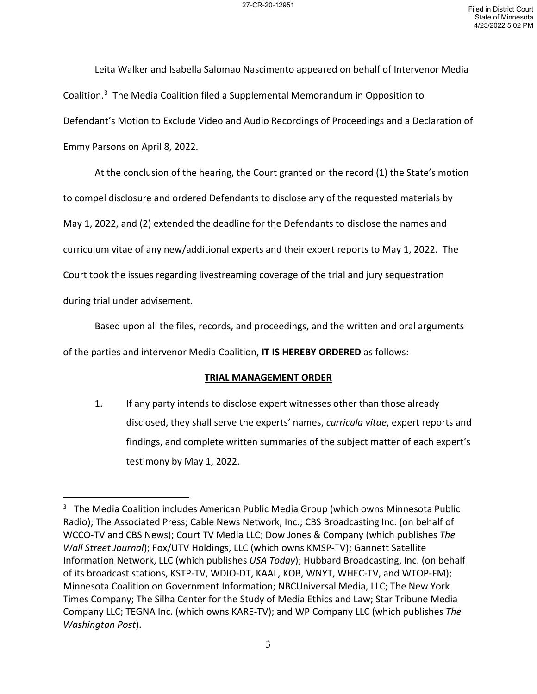Leita Walker and Isabella Salomao Nascimento appeared on behalf of Intervenor Media Coalition. [3](#page-2-0) The Media Coalition filed a Supplemental Memorandum in Opposition to Defendant's Motion to Exclude Video and Audio Recordings of Proceedings and a Declaration of Emmy Parsons on April 8, 2022.

At the conclusion of the hearing, the Court granted on the record (1) the State's motion to compel disclosure and ordered Defendants to disclose any of the requested materials by May 1, 2022, and (2) extended the deadline for the Defendants to disclose the names and curriculum vitae of any new/additional experts and their expert reports to May 1, 2022. The Court took the issues regarding livestreaming coverage of the trial and jury sequestration during trial under advisement.

Based upon all the files, records, and proceedings, and the written and oral arguments

of the parties and intervenor Media Coalition, **IT IS HEREBY ORDERED** as follows:

## **TRIAL MANAGEMENT ORDER**

1. If any party intends to disclose expert witnesses other than those already disclosed, they shall serve the experts' names, *curricula vitae*, expert reports and findings, and complete written summaries of the subject matter of each expert's testimony by May 1, 2022.

<span id="page-2-0"></span><sup>&</sup>lt;sup>3</sup> The Media Coalition includes American Public Media Group (which owns Minnesota Public Radio); The Associated Press; Cable News Network, Inc.; CBS Broadcasting Inc. (on behalf of WCCO-TV and CBS News); Court TV Media LLC; Dow Jones & Company (which publishes *The Wall Street Journal*); Fox/UTV Holdings, LLC (which owns KMSP-TV); Gannett Satellite Information Network, LLC (which publishes *USA Today*); Hubbard Broadcasting, Inc. (on behalf of its broadcast stations, KSTP-TV, WDIO-DT, KAAL, KOB, WNYT, WHEC-TV, and WTOP-FM); Minnesota Coalition on Government Information; NBCUniversal Media, LLC; The New York Times Company; The Silha Center for the Study of Media Ethics and Law; Star Tribune Media Company LLC; TEGNA Inc. (which owns KARE-TV); and WP Company LLC (which publishes *The Washington Post*).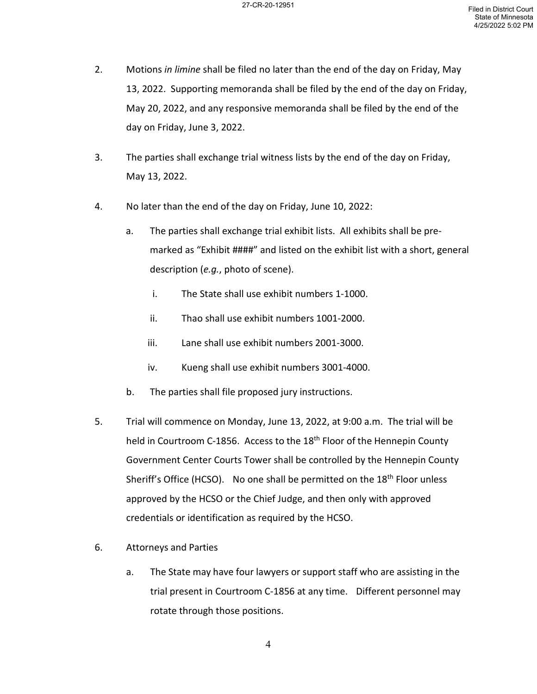- 2. Motions *in limine* shall be filed no later than the end of the day on Friday, May 13, 2022. Supporting memoranda shall be filed by the end of the day on Friday, May 20, 2022, and any responsive memoranda shall be filed by the end of the day on Friday, June 3, 2022.
- 3. The parties shall exchange trial witness lists by the end of the day on Friday, May 13, 2022.
- 4. No later than the end of the day on Friday, June 10, 2022:
	- a. The parties shall exchange trial exhibit lists. All exhibits shall be premarked as "Exhibit ####" and listed on the exhibit list with a short, general description (*e.g.*, photo of scene).
		- i. The State shall use exhibit numbers 1-1000.
		- ii. Thao shall use exhibit numbers 1001-2000.
		- iii. Lane shall use exhibit numbers 2001-3000.
		- iv. Kueng shall use exhibit numbers 3001-4000.
	- b. The parties shall file proposed jury instructions.
- 5. Trial will commence on Monday, June 13, 2022, at 9:00 a.m. The trial will be held in Courtroom C-1856. Access to the 18<sup>th</sup> Floor of the Hennepin County Government Center Courts Tower shall be controlled by the Hennepin County Sheriff's Office (HCSO). No one shall be permitted on the 18<sup>th</sup> Floor unless approved by the HCSO or the Chief Judge, and then only with approved credentials or identification as required by the HCSO.
- 6. Attorneys and Parties
	- a. The State may have four lawyers or support staff who are assisting in the trial present in Courtroom C-1856 at any time. Different personnel may rotate through those positions.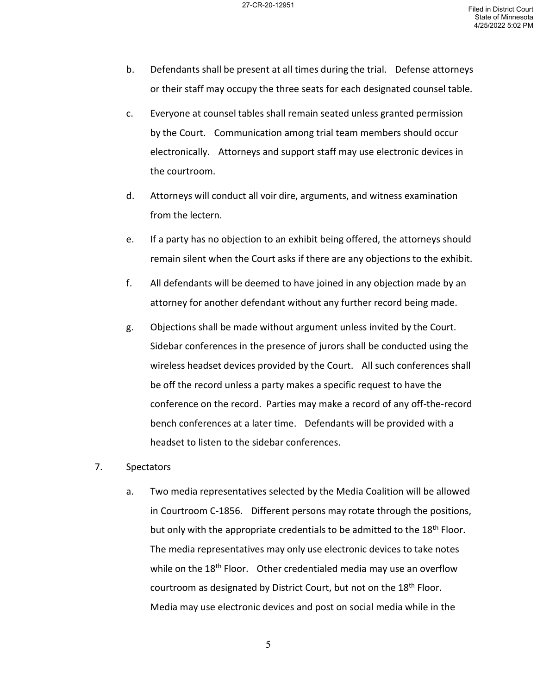- b. Defendants shall be present at all times during the trial. Defense attorneys or their staff may occupy the three seats for each designated counsel table.
- c. Everyone at counsel tables shall remain seated unless granted permission by the Court. Communication among trial team members should occur electronically. Attorneys and support staff may use electronic devices in the courtroom.
- d. Attorneys will conduct all voir dire, arguments, and witness examination from the lectern.
- e. If a party has no objection to an exhibit being offered, the attorneys should remain silent when the Court asks if there are any objections to the exhibit.
- f. All defendants will be deemed to have joined in any objection made by an attorney for another defendant without any further record being made.
- g. Objections shall be made without argument unless invited by the Court. Sidebar conferences in the presence of jurors shall be conducted using the wireless headset devices provided by the Court. All such conferences shall be off the record unless a party makes a specific request to have the conference on the record. Parties may make a record of any off-the-record bench conferences at a later time. Defendants will be provided with a headset to listen to the sidebar conferences.
- 7. Spectators
	- a. Two media representatives selected by the Media Coalition will be allowed in Courtroom C-1856. Different persons may rotate through the positions, but only with the appropriate credentials to be admitted to the 18<sup>th</sup> Floor. The media representatives may only use electronic devices to take notes while on the  $18<sup>th</sup>$  Floor. Other credentialed media may use an overflow courtroom as designated by District Court, but not on the 18<sup>th</sup> Floor. Media may use electronic devices and post on social media while in the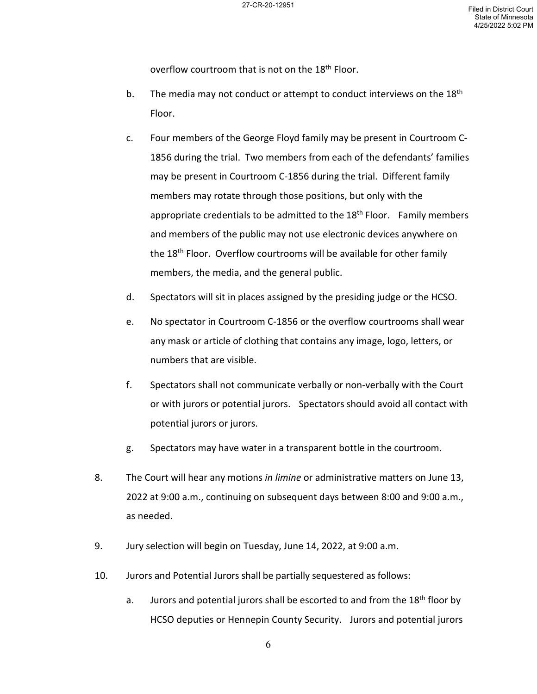overflow courtroom that is not on the 18<sup>th</sup> Floor.

- b. The media may not conduct or attempt to conduct interviews on the  $18<sup>th</sup>$ Floor.
- c. Four members of the George Floyd family may be present in Courtroom C-1856 during the trial. Two members from each of the defendants' families may be present in Courtroom C-1856 during the trial. Different family members may rotate through those positions, but only with the appropriate credentials to be admitted to the  $18<sup>th</sup>$  Floor. Family members and members of the public may not use electronic devices anywhere on the 18<sup>th</sup> Floor. Overflow courtrooms will be available for other family members, the media, and the general public.
- d. Spectators will sit in places assigned by the presiding judge or the HCSO.
- e. No spectator in Courtroom C-1856 or the overflow courtrooms shall wear any mask or article of clothing that contains any image, logo, letters, or numbers that are visible.
- f. Spectators shall not communicate verbally or non-verbally with the Court or with jurors or potential jurors. Spectators should avoid all contact with potential jurors or jurors.
- g. Spectators may have water in a transparent bottle in the courtroom.
- 8. The Court will hear any motions *in limine* or administrative matters on June 13, 2022 at 9:00 a.m., continuing on subsequent days between 8:00 and 9:00 a.m., as needed.
- 9. Jury selection will begin on Tuesday, June 14, 2022, at 9:00 a.m.
- 10. Jurors and Potential Jurors shall be partially sequestered as follows:
	- a. Jurors and potential jurors shall be escorted to and from the  $18<sup>th</sup>$  floor by HCSO deputies or Hennepin County Security. Jurors and potential jurors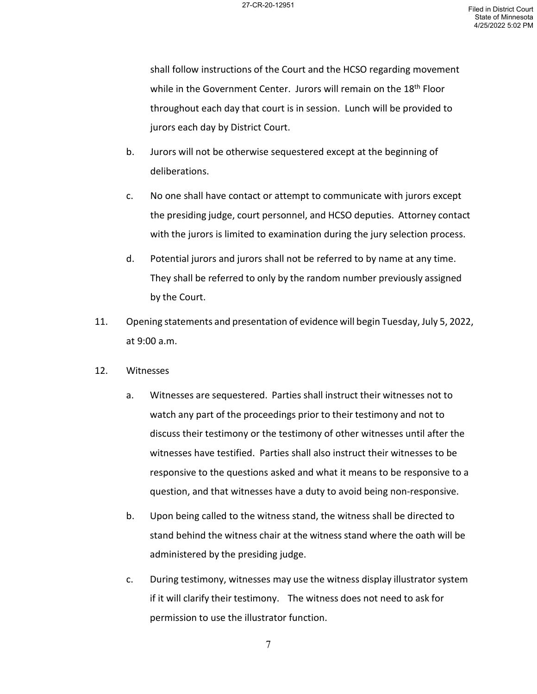shall follow instructions of the Court and the HCSO regarding movement while in the Government Center. Jurors will remain on the 18<sup>th</sup> Floor throughout each day that court is in session. Lunch will be provided to jurors each day by District Court.

- b. Jurors will not be otherwise sequestered except at the beginning of deliberations.
- c. No one shall have contact or attempt to communicate with jurors except the presiding judge, court personnel, and HCSO deputies. Attorney contact with the jurors is limited to examination during the jury selection process.
- d. Potential jurors and jurors shall not be referred to by name at any time. They shall be referred to only by the random number previously assigned by the Court.
- 11. Opening statements and presentation of evidence will begin Tuesday, July 5, 2022, at 9:00 a.m.
- 12. Witnesses
	- a. Witnesses are sequestered. Parties shall instruct their witnesses not to watch any part of the proceedings prior to their testimony and not to discuss their testimony or the testimony of other witnesses until after the witnesses have testified. Parties shall also instruct their witnesses to be responsive to the questions asked and what it means to be responsive to a question, and that witnesses have a duty to avoid being non-responsive.
	- b. Upon being called to the witness stand, the witness shall be directed to stand behind the witness chair at the witness stand where the oath will be administered by the presiding judge.
	- c. During testimony, witnesses may use the witness display illustrator system if it will clarify their testimony. The witness does not need to ask for permission to use the illustrator function.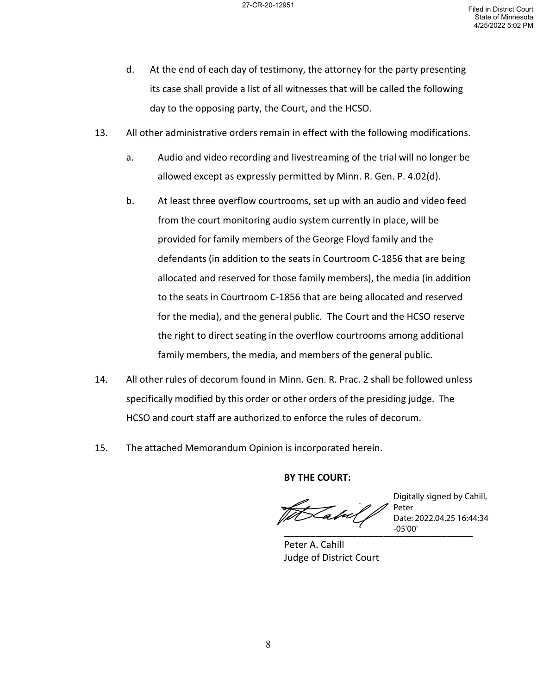- d. At the end of each day of testimony, the attorney for the party presenting its case shall provide a list of all witnesses that will be called the following day to the opposing party, the Court, and the HCSO.
- 13. All other administrative orders remain in effect with the following modifications.
	- a. Audio and video recording and livestreaming of the trial will no longer be allowed except as expressly permitted by Minn. R. Gen. P. 4.02(d).
	- b. At least three overflow courtrooms, set up with an audio and video feed from the court monitoring audio system currently in place, will be provided for family members of the George Floyd family and the defendants (in addition to the seats in Courtroom C-1856 that are being allocated and reserved for those family members), the media (in addition to the seats in Courtroom C-1856 that are being allocated and reserved for the media), and the general public. The Court and the HCSO reserve the right to direct seating in the overflow courtrooms among additional family members, the media, and members of the general public.
- 14. All other rules of decorum found in Minn. Gen. R. Prac. 2 shall be followed unless specifically modified by this order or other orders of the presiding judge. The HCSO and court staff are authorized to enforce the rules of decorum.
- 15. The attached Memorandum Opinion is incorporated herein.

**BY THE COURT:**

Peter A. Cahill Judge of District Court

\_\_\_\_\_\_\_\_\_\_\_\_\_\_\_\_\_\_\_\_\_\_\_\_\_\_\_\_\_\_\_\_\_\_\_\_ Digitally signed by Cahill, Peter Date: 2022.04.25 16:44:34 -05'00'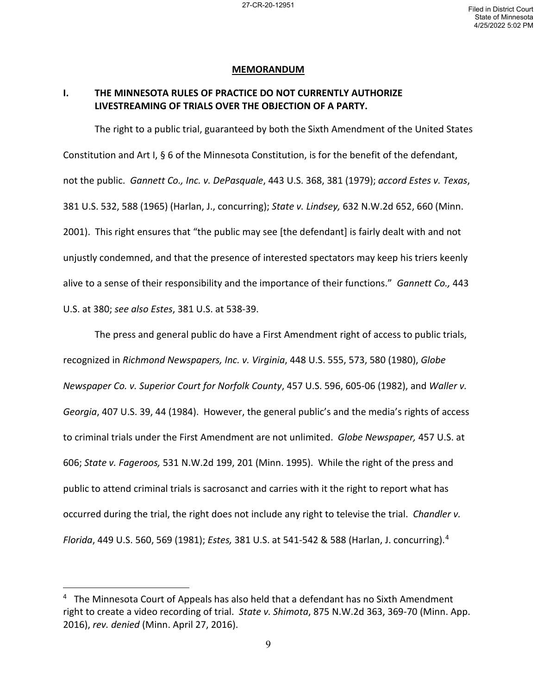### **MEMORANDUM**

## **I. THE MINNESOTA RULES OF PRACTICE DO NOT CURRENTLY AUTHORIZE LIVESTREAMING OF TRIALS OVER THE OBJECTION OF A PARTY.**

The right to a public trial, guaranteed by both the Sixth Amendment of the United States Constitution and Art I, § 6 of the Minnesota Constitution, is for the benefit of the defendant, not the public. *Gannett Co., Inc. v. DePasquale*, 443 U.S. 368, 381 (1979); *accord Estes v. Texas*, 381 U.S. 532, 588 (1965) (Harlan, J., concurring); *State v. Lindsey,* 632 N.W.2d 652, 660 (Minn. 2001). This right ensures that "the public may see [the defendant] is fairly dealt with and not unjustly condemned, and that the presence of interested spectators may keep his triers keenly alive to a sense of their responsibility and the importance of their functions." *Gannett Co.,* 443 U.S. at 380; *see also Estes*, 381 U.S. at 538-39.

The press and general public do have a First Amendment right of access to public trials, recognized in *Richmond Newspapers, Inc. v. Virginia*, 448 U.S. 555, 573, 580 (1980), *Globe Newspaper Co. v. Superior Court for Norfolk County*, 457 U.S. 596, 605-06 (1982), and *Waller v. Georgia*, 407 U.S. 39, 44 (1984). However, the general public's and the media's rights of access to criminal trials under the First Amendment are not unlimited. *Globe Newspaper,* 457 U.S. at 606; *State v. Fageroos,* 531 N.W.2d 199, 201 (Minn. 1995). While the right of the press and public to attend criminal trials is sacrosanct and carries with it the right to report what has occurred during the trial, the right does not include any right to televise the trial. *Chandler v. Florida*, 449 U.S. 560, 569 (1981); *Estes,* 381 U.S. at 541-542 & 588 (Harlan, J. concurring). [4](#page-8-0)

<span id="page-8-0"></span> $4$  The Minnesota Court of Appeals has also held that a defendant has no Sixth Amendment right to create a video recording of trial. *State v. Shimota*, 875 N.W.2d 363, 369-70 (Minn. App. 2016), *rev. denied* (Minn. April 27, 2016).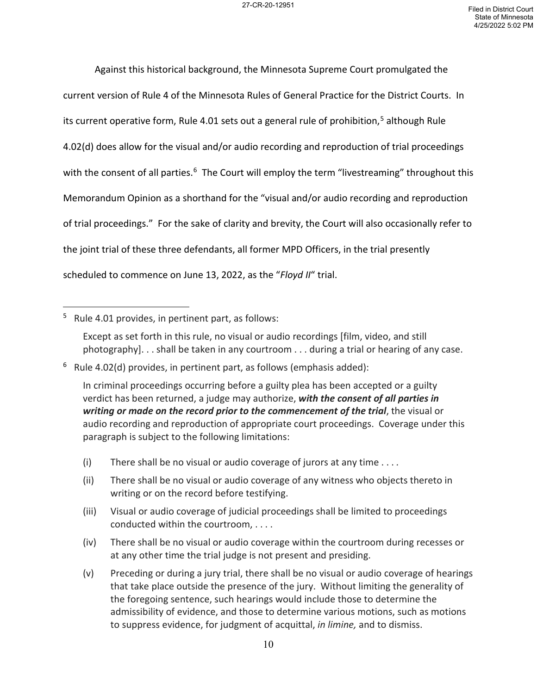Against this historical background, the Minnesota Supreme Court promulgated the current version of Rule 4 of the Minnesota Rules of General Practice for the District Courts. In its current operative form, Rule 4.01 sets out a general rule of prohibition,<sup>[5](#page-9-0)</sup> although Rule 4.02(d) does allow for the visual and/or audio recording and reproduction of trial proceedings with the consent of all parties.<sup>6</sup> The Court will employ the term "livestreaming" throughout this Memorandum Opinion as a shorthand for the "visual and/or audio recording and reproduction of trial proceedings." For the sake of clarity and brevity, the Court will also occasionally refer to the joint trial of these three defendants, all former MPD Officers, in the trial presently scheduled to commence on June 13, 2022, as the "*Floyd II*" trial.

- (i) There shall be no visual or audio coverage of jurors at any time . . . *.*
- (ii) There shall be no visual or audio coverage of any witness who objects thereto in writing or on the record before testifying.
- (iii) Visual or audio coverage of judicial proceedings shall be limited to proceedings conducted within the courtroom, . . . .
- (iv) There shall be no visual or audio coverage within the courtroom during recesses or at any other time the trial judge is not present and presiding.
- (v) Preceding or during a jury trial, there shall be no visual or audio coverage of hearings that take place outside the presence of the jury. Without limiting the generality of the foregoing sentence, such hearings would include those to determine the admissibility of evidence, and those to determine various motions, such as motions to suppress evidence, for judgment of acquittal, *in limine,* and to dismiss.

<span id="page-9-0"></span><sup>5</sup> Rule 4.01 provides, in pertinent part, as follows:

Except as set forth in this rule, no visual or audio recordings [film, video, and still photography]. . . shall be taken in any courtroom . . . during a trial or hearing of any case.

<span id="page-9-1"></span><sup>6</sup> Rule 4.02(d) provides, in pertinent part, as follows (emphasis added):

In criminal proceedings occurring before a guilty plea has been accepted or a guilty verdict has been returned, a judge may authorize, *with the consent of all parties in writing or made on the record prior to the commencement of the trial*, the visual or audio recording and reproduction of appropriate court proceedings. Coverage under this paragraph is subject to the following limitations: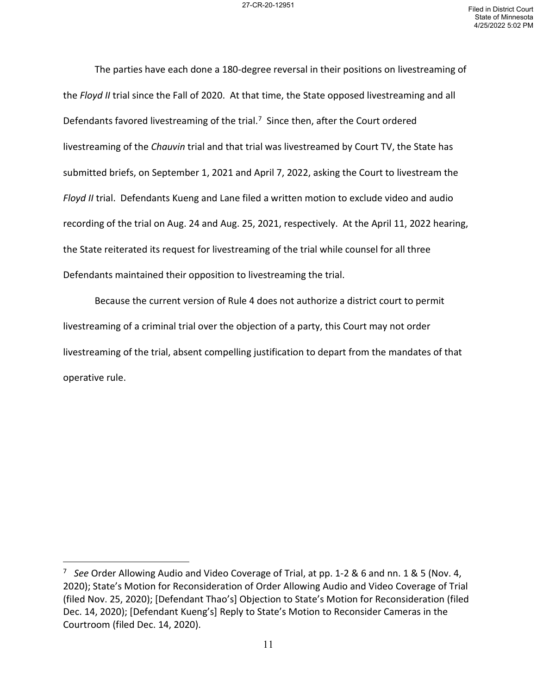The parties have each done a 180-degree reversal in their positions on livestreaming of the *Floyd II* trial since the Fall of 2020. At that time, the State opposed livestreaming and all Defendants favored livestreaming of the trial.<sup>[7](#page-10-0)</sup> Since then, after the Court ordered livestreaming of the *Chauvin* trial and that trial was livestreamed by Court TV, the State has submitted briefs, on September 1, 2021 and April 7, 2022, asking the Court to livestream the *Floyd II* trial. Defendants Kueng and Lane filed a written motion to exclude video and audio recording of the trial on Aug. 24 and Aug. 25, 2021, respectively. At the April 11, 2022 hearing, the State reiterated its request for livestreaming of the trial while counsel for all three Defendants maintained their opposition to livestreaming the trial.

Because the current version of Rule 4 does not authorize a district court to permit livestreaming of a criminal trial over the objection of a party, this Court may not order livestreaming of the trial, absent compelling justification to depart from the mandates of that operative rule.

<span id="page-10-0"></span><sup>7</sup> *See* Order Allowing Audio and Video Coverage of Trial, at pp. 1-2 & 6 and nn. 1 & 5 (Nov. 4, 2020); State's Motion for Reconsideration of Order Allowing Audio and Video Coverage of Trial (filed Nov. 25, 2020); [Defendant Thao's] Objection to State's Motion for Reconsideration (filed Dec. 14, 2020); [Defendant Kueng's] Reply to State's Motion to Reconsider Cameras in the Courtroom (filed Dec. 14, 2020).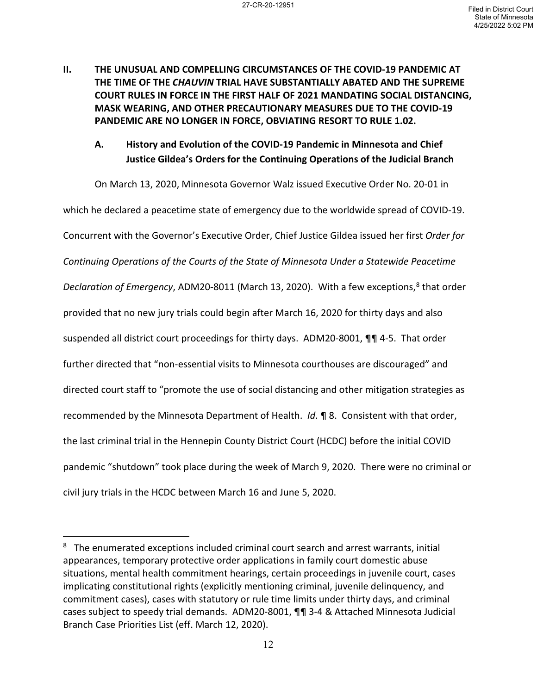**II. THE UNUSUAL AND COMPELLING CIRCUMSTANCES OF THE COVID-19 PANDEMIC AT THE TIME OF THE** *CHAUVIN* **TRIAL HAVE SUBSTANTIALLY ABATED AND THE SUPREME COURT RULES IN FORCE IN THE FIRST HALF OF 2021 MANDATING SOCIAL DISTANCING, MASK WEARING, AND OTHER PRECAUTIONARY MEASURES DUE TO THE COVID-19 PANDEMIC ARE NO LONGER IN FORCE, OBVIATING RESORT TO RULE 1.02.** 

# **A. History and Evolution of the COVID-19 Pandemic in Minnesota and Chief Justice Gildea's Orders for the Continuing Operations of the Judicial Branch**

On March 13, 2020, Minnesota Governor Walz issued Executive Order No. 20-01 in which he declared a peacetime state of emergency due to the worldwide spread of COVID-19. Concurrent with the Governor's Executive Order, Chief Justice Gildea issued her first *Order for Continuing Operations of the Courts of the State of Minnesota Under a Statewide Peacetime Declaration of Emergency*, ADM20-[8](#page-11-0)011 (March 13, 2020). With a few exceptions,<sup>8</sup> that order provided that no new jury trials could begin after March 16, 2020 for thirty days and also suspended all district court proceedings for thirty days. ADM20-8001, ¶¶ 4-5. That order further directed that "non-essential visits to Minnesota courthouses are discouraged" and directed court staff to "promote the use of social distancing and other mitigation strategies as recommended by the Minnesota Department of Health. *Id*. ¶ 8. Consistent with that order, the last criminal trial in the Hennepin County District Court (HCDC) before the initial COVID pandemic "shutdown" took place during the week of March 9, 2020. There were no criminal or civil jury trials in the HCDC between March 16 and June 5, 2020.

<span id="page-11-0"></span><sup>&</sup>lt;sup>8</sup> The enumerated exceptions included criminal court search and arrest warrants, initial appearances, temporary protective order applications in family court domestic abuse situations, mental health commitment hearings, certain proceedings in juvenile court, cases implicating constitutional rights (explicitly mentioning criminal, juvenile delinquency, and commitment cases), cases with statutory or rule time limits under thirty days, and criminal cases subject to speedy trial demands. ADM20-8001, ¶¶ 3-4 & Attached Minnesota Judicial Branch Case Priorities List (eff. March 12, 2020).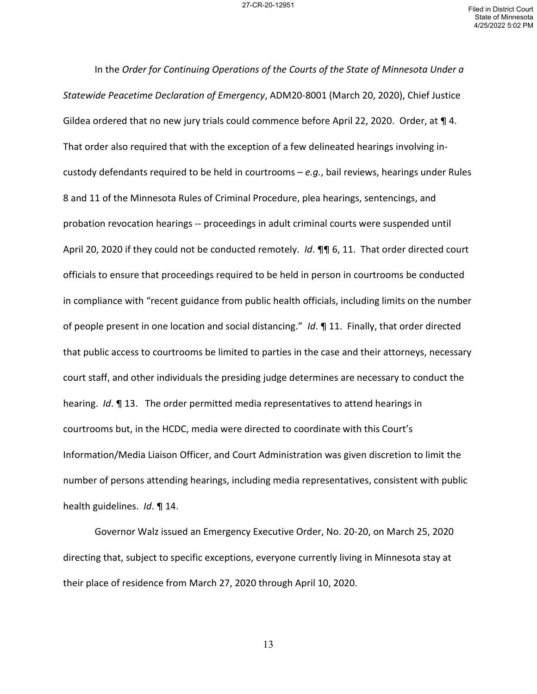In the *Order for Continuing Operations of the Courts of the State of Minnesota Under a Statewide Peacetime Declaration of Emergency*, ADM20-8001 (March 20, 2020), Chief Justice Gildea ordered that no new jury trials could commence before April 22, 2020. Order, at ¶ 4. That order also required that with the exception of a few delineated hearings involving incustody defendants required to be held in courtrooms – *e.g.*, bail reviews, hearings under Rules 8 and 11 of the Minnesota Rules of Criminal Procedure, plea hearings, sentencings, and probation revocation hearings -- proceedings in adult criminal courts were suspended until April 20, 2020 if they could not be conducted remotely. *Id*. ¶¶ 6, 11. That order directed court officials to ensure that proceedings required to be held in person in courtrooms be conducted in compliance with "recent guidance from public health officials, including limits on the number of people present in one location and social distancing." *Id*. ¶ 11. Finally, that order directed that public access to courtrooms be limited to parties in the case and their attorneys, necessary court staff, and other individuals the presiding judge determines are necessary to conduct the hearing. *Id*. ¶ 13. The order permitted media representatives to attend hearings in courtrooms but, in the HCDC, media were directed to coordinate with this Court's Information/Media Liaison Officer, and Court Administration was given discretion to limit the number of persons attending hearings, including media representatives, consistent with public health guidelines. *Id*. ¶ 14.

Governor Walz issued an Emergency Executive Order, No. 20-20, on March 25, 2020 directing that, subject to specific exceptions, everyone currently living in Minnesota stay at their place of residence from March 27, 2020 through April 10, 2020.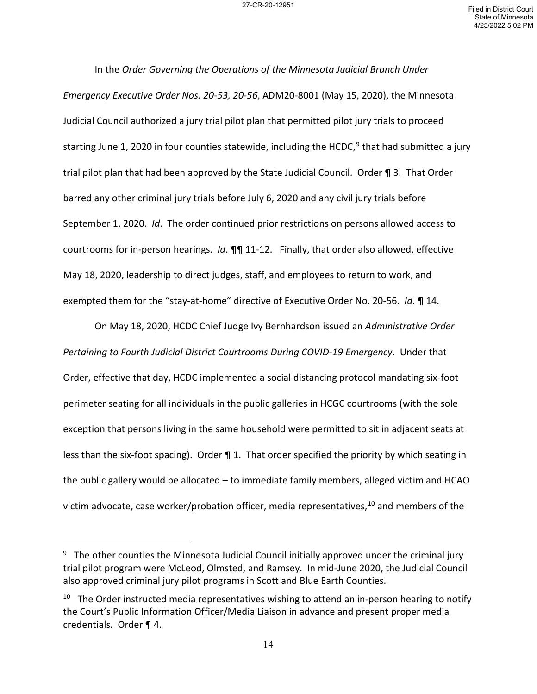In the *Order Governing the Operations of the Minnesota Judicial Branch Under Emergency Executive Order Nos. 20-53, 20-56*, ADM20-8001 (May 15, 2020), the Minnesota Judicial Council authorized a jury trial pilot plan that permitted pilot jury trials to proceed starting June 1, 2020 in four counties statewide, including the HCDC,<sup>[9](#page-13-0)</sup> that had submitted a jury trial pilot plan that had been approved by the State Judicial Council. Order ¶ 3. That Order barred any other criminal jury trials before July 6, 2020 and any civil jury trials before September 1, 2020. *Id*. The order continued prior restrictions on persons allowed access to courtrooms for in-person hearings. *Id*. ¶¶ 11-12. Finally, that order also allowed, effective May 18, 2020, leadership to direct judges, staff, and employees to return to work, and exempted them for the "stay-at-home" directive of Executive Order No. 20-56. *Id*. ¶ 14.

On May 18, 2020, HCDC Chief Judge Ivy Bernhardson issued an *Administrative Order Pertaining to Fourth Judicial District Courtrooms During COVID-19 Emergency*. Under that Order, effective that day, HCDC implemented a social distancing protocol mandating six-foot perimeter seating for all individuals in the public galleries in HCGC courtrooms (with the sole exception that persons living in the same household were permitted to sit in adjacent seats at less than the six-foot spacing). Order  $\P$  1. That order specified the priority by which seating in the public gallery would be allocated – to immediate family members, alleged victim and HCAO victim advocate, case worker/probation officer, media representatives, $^{10}$  and members of the

<span id="page-13-0"></span><sup>&</sup>lt;sup>9</sup> The other counties the Minnesota Judicial Council initially approved under the criminal jury trial pilot program were McLeod, Olmsted, and Ramsey. In mid-June 2020, the Judicial Council also approved criminal jury pilot programs in Scott and Blue Earth Counties.

<span id="page-13-1"></span> $10$  The Order instructed media representatives wishing to attend an in-person hearing to notify the Court's Public Information Officer/Media Liaison in advance and present proper media credentials. Order ¶ 4.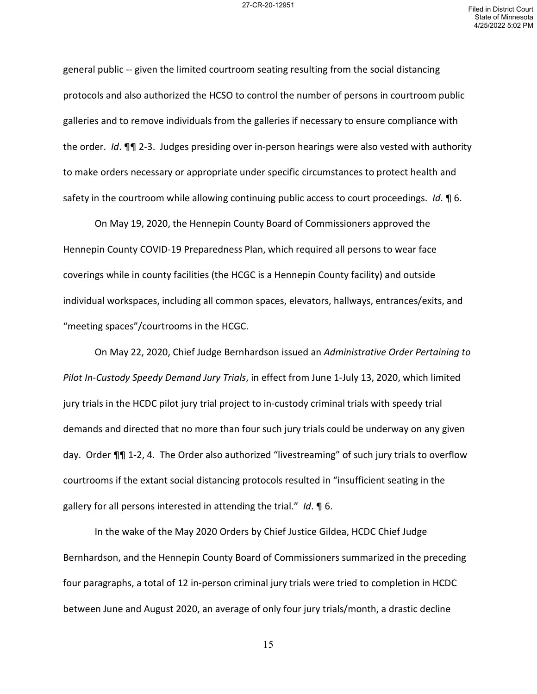general public -- given the limited courtroom seating resulting from the social distancing protocols and also authorized the HCSO to control the number of persons in courtroom public galleries and to remove individuals from the galleries if necessary to ensure compliance with the order. *Id*. ¶¶ 2-3. Judges presiding over in-person hearings were also vested with authority to make orders necessary or appropriate under specific circumstances to protect health and safety in the courtroom while allowing continuing public access to court proceedings. *Id*. ¶ 6.

On May 19, 2020, the Hennepin County Board of Commissioners approved the Hennepin County COVID-19 Preparedness Plan, which required all persons to wear face coverings while in county facilities (the HCGC is a Hennepin County facility) and outside individual workspaces, including all common spaces, elevators, hallways, entrances/exits, and "meeting spaces"/courtrooms in the HCGC.

On May 22, 2020, Chief Judge Bernhardson issued an *Administrative Order Pertaining to Pilot In-Custody Speedy Demand Jury Trials*, in effect from June 1-July 13, 2020, which limited jury trials in the HCDC pilot jury trial project to in-custody criminal trials with speedy trial demands and directed that no more than four such jury trials could be underway on any given day. Order ¶¶ 1-2, 4. The Order also authorized "livestreaming" of such jury trials to overflow courtrooms if the extant social distancing protocols resulted in "insufficient seating in the gallery for all persons interested in attending the trial." *Id*. ¶ 6.

In the wake of the May 2020 Orders by Chief Justice Gildea, HCDC Chief Judge Bernhardson, and the Hennepin County Board of Commissioners summarized in the preceding four paragraphs, a total of 12 in-person criminal jury trials were tried to completion in HCDC between June and August 2020, an average of only four jury trials/month, a drastic decline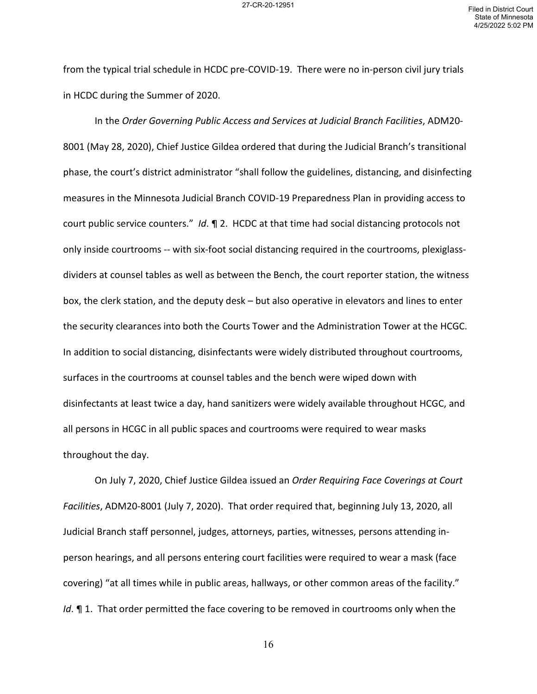from the typical trial schedule in HCDC pre-COVID-19. There were no in-person civil jury trials in HCDC during the Summer of 2020.

In the *Order Governing Public Access and Services at Judicial Branch Facilities*, ADM20- 8001 (May 28, 2020), Chief Justice Gildea ordered that during the Judicial Branch's transitional phase, the court's district administrator "shall follow the guidelines, distancing, and disinfecting measures in the Minnesota Judicial Branch COVID-19 Preparedness Plan in providing access to court public service counters." *Id*. ¶ 2. HCDC at that time had social distancing protocols not only inside courtrooms -- with six-foot social distancing required in the courtrooms, plexiglassdividers at counsel tables as well as between the Bench, the court reporter station, the witness box, the clerk station, and the deputy desk – but also operative in elevators and lines to enter the security clearances into both the Courts Tower and the Administration Tower at the HCGC. In addition to social distancing, disinfectants were widely distributed throughout courtrooms, surfaces in the courtrooms at counsel tables and the bench were wiped down with disinfectants at least twice a day, hand sanitizers were widely available throughout HCGC, and all persons in HCGC in all public spaces and courtrooms were required to wear masks throughout the day.

On July 7, 2020, Chief Justice Gildea issued an *Order Requiring Face Coverings at Court Facilities*, ADM20-8001 (July 7, 2020). That order required that, beginning July 13, 2020, all Judicial Branch staff personnel, judges, attorneys, parties, witnesses, persons attending inperson hearings, and all persons entering court facilities were required to wear a mask (face covering) "at all times while in public areas, hallways, or other common areas of the facility." *Id*. **¶** 1. That order permitted the face covering to be removed in courtrooms only when the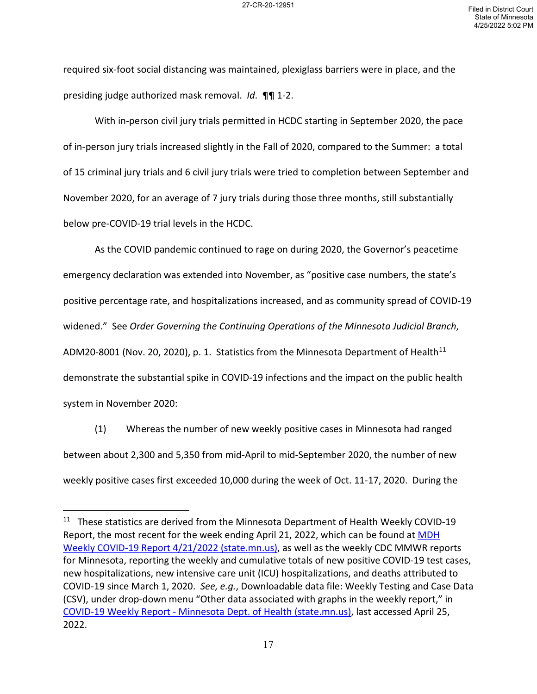required six-foot social distancing was maintained, plexiglass barriers were in place, and the presiding judge authorized mask removal. *Id*. ¶¶ 1-2.

With in-person civil jury trials permitted in HCDC starting in September 2020, the pace of in-person jury trials increased slightly in the Fall of 2020, compared to the Summer: a total of 15 criminal jury trials and 6 civil jury trials were tried to completion between September and November 2020, for an average of 7 jury trials during those three months, still substantially below pre-COVID-19 trial levels in the HCDC.

As the COVID pandemic continued to rage on during 2020, the Governor's peacetime emergency declaration was extended into November, as "positive case numbers, the state's positive percentage rate, and hospitalizations increased, and as community spread of COVID-19 widened." See *Order Governing the Continuing Operations of the Minnesota Judicial Branch*, ADM20-8001 (Nov. 20, 2020), p. 1. Statistics from the Minnesota Department of Health<sup>[11](#page-16-0)</sup> demonstrate the substantial spike in COVID-19 infections and the impact on the public health system in November 2020:

(1) Whereas the number of new weekly positive cases in Minnesota had ranged between about 2,300 and 5,350 from mid-April to mid-September 2020, the number of new weekly positive cases first exceeded 10,000 during the week of Oct. 11-17, 2020. During the

<span id="page-16-0"></span><sup>&</sup>lt;sup>11</sup> These statistics are derived from the Minnesota Department of Health Weekly COVID-19 Report, the most recent for the week ending April 21, 2022, which can be found at MDH [Weekly COVID-19 Report 4/21/2022 \(state.mn.us\),](https://www.health.state.mn.us/diseases/coronavirus/stats/covidweekly1622.pdf) as well as the weekly CDC MMWR reports for Minnesota, reporting the weekly and cumulative totals of new positive COVID-19 test cases, new hospitalizations, new intensive care unit (ICU) hospitalizations, and deaths attributed to COVID-19 since March 1, 2020. *See, e.g.*, Downloadable data file: Weekly Testing and Case Data (CSV), under drop-down menu "Other data associated with graphs in the weekly report," in [COVID-19 Weekly Report - Minnesota Dept. of Health \(state.mn.us\),](https://www.health.state.mn.us/diseases/coronavirus/stats/#wmapcd1) last accessed April 25, 2022.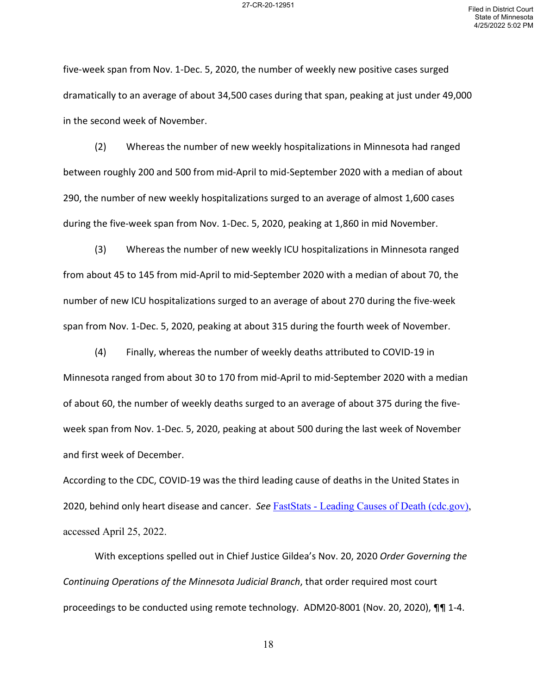five-week span from Nov. 1-Dec. 5, 2020, the number of weekly new positive cases surged dramatically to an average of about 34,500 cases during that span, peaking at just under 49,000 in the second week of November.

(2) Whereas the number of new weekly hospitalizations in Minnesota had ranged between roughly 200 and 500 from mid-April to mid-September 2020 with a median of about 290, the number of new weekly hospitalizations surged to an average of almost 1,600 cases during the five-week span from Nov. 1-Dec. 5, 2020, peaking at 1,860 in mid November.

(3) Whereas the number of new weekly ICU hospitalizations in Minnesota ranged from about 45 to 145 from mid-April to mid-September 2020 with a median of about 70, the number of new ICU hospitalizations surged to an average of about 270 during the five-week span from Nov. 1-Dec. 5, 2020, peaking at about 315 during the fourth week of November.

(4) Finally, whereas the number of weekly deaths attributed to COVID-19 in Minnesota ranged from about 30 to 170 from mid-April to mid-September 2020 with a median of about 60, the number of weekly deaths surged to an average of about 375 during the fiveweek span from Nov. 1-Dec. 5, 2020, peaking at about 500 during the last week of November and first week of December.

According to the CDC, COVID-19 was the third leading cause of deaths in the United States in 2020, behind only heart disease and cancer. *See* [FastStats - Leading Causes of Death \(cdc.gov\),](https://www.cdc.gov/nchs/fastats/leading-causes-of-death.htm) accessed April 25, 2022.

With exceptions spelled out in Chief Justice Gildea's Nov. 20, 2020 *Order Governing the Continuing Operations of the Minnesota Judicial Branch*, that order required most court proceedings to be conducted using remote technology. ADM20-8001 (Nov. 20, 2020), ¶¶ 1-4.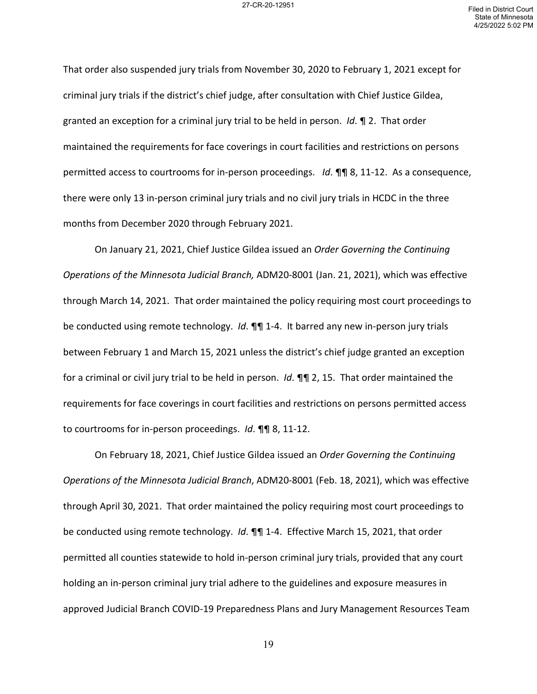That order also suspended jury trials from November 30, 2020 to February 1, 2021 except for criminal jury trials if the district's chief judge, after consultation with Chief Justice Gildea, granted an exception for a criminal jury trial to be held in person. *Id*. ¶ 2. That order maintained the requirements for face coverings in court facilities and restrictions on persons permitted access to courtrooms for in-person proceedings. *Id*. ¶¶ 8, 11-12. As a consequence, there were only 13 in-person criminal jury trials and no civil jury trials in HCDC in the three months from December 2020 through February 2021.

On January 21, 2021, Chief Justice Gildea issued an *Order Governing the Continuing Operations of the Minnesota Judicial Branch,* ADM20-8001 (Jan. 21, 2021), which was effective through March 14, 2021. That order maintained the policy requiring most court proceedings to be conducted using remote technology. *Id*. ¶¶ 1-4. It barred any new in-person jury trials between February 1 and March 15, 2021 unless the district's chief judge granted an exception for a criminal or civil jury trial to be held in person. *Id*. ¶¶ 2, 15. That order maintained the requirements for face coverings in court facilities and restrictions on persons permitted access to courtrooms for in-person proceedings. *Id*. ¶¶ 8, 11-12.

On February 18, 2021, Chief Justice Gildea issued an *Order Governing the Continuing Operations of the Minnesota Judicial Branch*, ADM20-8001 (Feb. 18, 2021), which was effective through April 30, 2021. That order maintained the policy requiring most court proceedings to be conducted using remote technology. *Id*. ¶¶ 1-4. Effective March 15, 2021, that order permitted all counties statewide to hold in-person criminal jury trials, provided that any court holding an in-person criminal jury trial adhere to the guidelines and exposure measures in approved Judicial Branch COVID-19 Preparedness Plans and Jury Management Resources Team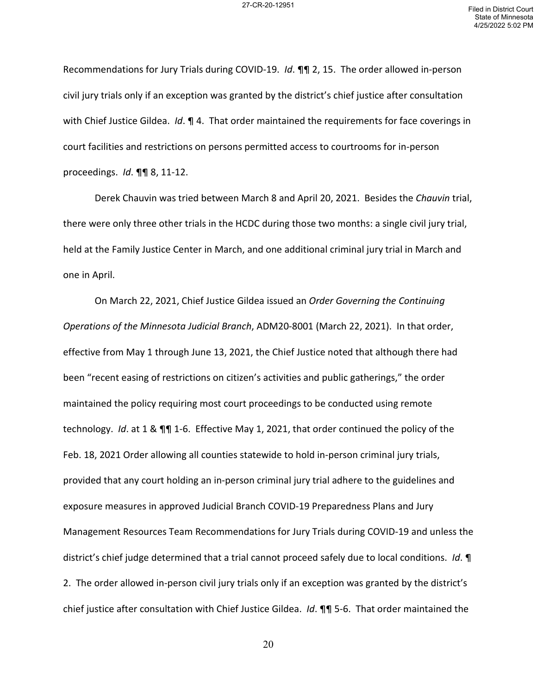Recommendations for Jury Trials during COVID-19. *Id*. ¶¶ 2, 15. The order allowed in-person civil jury trials only if an exception was granted by the district's chief justice after consultation with Chief Justice Gildea. *Id*. ¶ 4. That order maintained the requirements for face coverings in court facilities and restrictions on persons permitted access to courtrooms for in-person proceedings. *Id*. ¶¶ 8, 11-12.

Derek Chauvin was tried between March 8 and April 20, 2021. Besides the *Chauvin* trial, there were only three other trials in the HCDC during those two months: a single civil jury trial, held at the Family Justice Center in March, and one additional criminal jury trial in March and one in April.

On March 22, 2021, Chief Justice Gildea issued an *Order Governing the Continuing Operations of the Minnesota Judicial Branch*, ADM20-8001 (March 22, 2021). In that order, effective from May 1 through June 13, 2021, the Chief Justice noted that although there had been "recent easing of restrictions on citizen's activities and public gatherings," the order maintained the policy requiring most court proceedings to be conducted using remote technology. *Id*. at 1 & ¶¶ 1-6. Effective May 1, 2021, that order continued the policy of the Feb. 18, 2021 Order allowing all counties statewide to hold in-person criminal jury trials, provided that any court holding an in-person criminal jury trial adhere to the guidelines and exposure measures in approved Judicial Branch COVID-19 Preparedness Plans and Jury Management Resources Team Recommendations for Jury Trials during COVID-19 and unless the district's chief judge determined that a trial cannot proceed safely due to local conditions. *Id*. ¶ 2. The order allowed in-person civil jury trials only if an exception was granted by the district's chief justice after consultation with Chief Justice Gildea. *Id*. ¶¶ 5-6. That order maintained the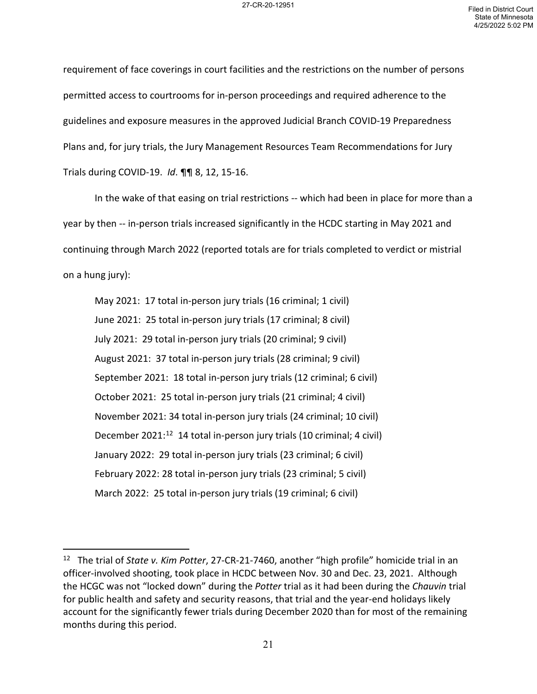requirement of face coverings in court facilities and the restrictions on the number of persons permitted access to courtrooms for in-person proceedings and required adherence to the guidelines and exposure measures in the approved Judicial Branch COVID-19 Preparedness Plans and, for jury trials, the Jury Management Resources Team Recommendations for Jury Trials during COVID-19. *Id*. ¶¶ 8, 12, 15-16.

In the wake of that easing on trial restrictions -- which had been in place for more than a year by then -- in-person trials increased significantly in the HCDC starting in May 2021 and continuing through March 2022 (reported totals are for trials completed to verdict or mistrial on a hung jury):

May 2021: 17 total in-person jury trials (16 criminal; 1 civil) June 2021: 25 total in-person jury trials (17 criminal; 8 civil) July 2021: 29 total in-person jury trials (20 criminal; 9 civil) August 2021: 37 total in-person jury trials (28 criminal; 9 civil) September 2021: 18 total in-person jury trials (12 criminal; 6 civil) October 2021: 25 total in-person jury trials (21 criminal; 4 civil) November 2021: 34 total in-person jury trials (24 criminal; 10 civil) December 2021:<sup>[12](#page-20-0)</sup> 14 total in-person jury trials (10 criminal; 4 civil) January 2022: 29 total in-person jury trials (23 criminal; 6 civil) February 2022: 28 total in-person jury trials (23 criminal; 5 civil) March 2022: 25 total in-person jury trials (19 criminal; 6 civil)

<span id="page-20-0"></span><sup>12</sup> The trial of *State v. Kim Potter*, 27-CR-21-7460, another "high profile" homicide trial in an officer-involved shooting, took place in HCDC between Nov. 30 and Dec. 23, 2021. Although the HCGC was not "locked down" during the *Potter* trial as it had been during the *Chauvin* trial for public health and safety and security reasons, that trial and the year-end holidays likely account for the significantly fewer trials during December 2020 than for most of the remaining months during this period.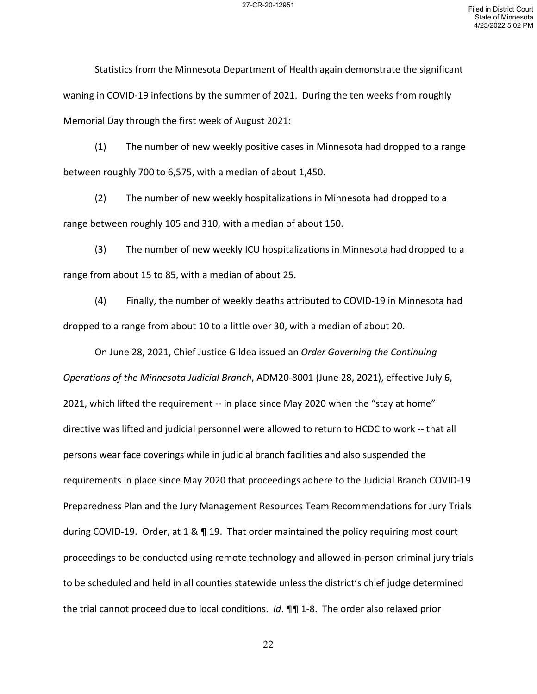Statistics from the Minnesota Department of Health again demonstrate the significant waning in COVID-19 infections by the summer of 2021. During the ten weeks from roughly Memorial Day through the first week of August 2021:

(1) The number of new weekly positive cases in Minnesota had dropped to a range between roughly 700 to 6,575, with a median of about 1,450.

(2) The number of new weekly hospitalizations in Minnesota had dropped to a range between roughly 105 and 310, with a median of about 150.

(3) The number of new weekly ICU hospitalizations in Minnesota had dropped to a range from about 15 to 85, with a median of about 25.

(4) Finally, the number of weekly deaths attributed to COVID-19 in Minnesota had dropped to a range from about 10 to a little over 30, with a median of about 20.

On June 28, 2021, Chief Justice Gildea issued an *Order Governing the Continuing Operations of the Minnesota Judicial Branch*, ADM20-8001 (June 28, 2021), effective July 6, 2021, which lifted the requirement -- in place since May 2020 when the "stay at home" directive was lifted and judicial personnel were allowed to return to HCDC to work -- that all persons wear face coverings while in judicial branch facilities and also suspended the requirements in place since May 2020 that proceedings adhere to the Judicial Branch COVID-19 Preparedness Plan and the Jury Management Resources Team Recommendations for Jury Trials during COVID-19. Order, at 1 & ¶ 19. That order maintained the policy requiring most court proceedings to be conducted using remote technology and allowed in-person criminal jury trials to be scheduled and held in all counties statewide unless the district's chief judge determined the trial cannot proceed due to local conditions. *Id*. ¶¶ 1-8. The order also relaxed prior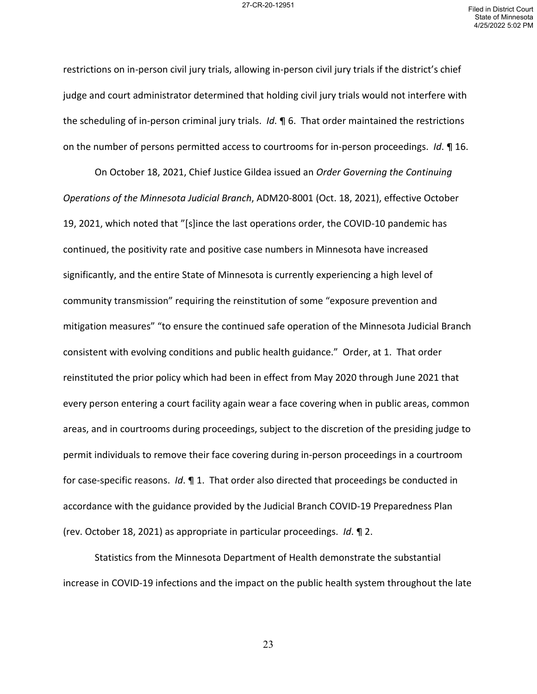restrictions on in-person civil jury trials, allowing in-person civil jury trials if the district's chief judge and court administrator determined that holding civil jury trials would not interfere with the scheduling of in-person criminal jury trials. *Id*. ¶ 6. That order maintained the restrictions on the number of persons permitted access to courtrooms for in-person proceedings. *Id*. ¶ 16.

On October 18, 2021, Chief Justice Gildea issued an *Order Governing the Continuing Operations of the Minnesota Judicial Branch*, ADM20-8001 (Oct. 18, 2021), effective October 19, 2021, which noted that "[s]ince the last operations order, the COVID-10 pandemic has continued, the positivity rate and positive case numbers in Minnesota have increased significantly, and the entire State of Minnesota is currently experiencing a high level of community transmission" requiring the reinstitution of some "exposure prevention and mitigation measures" "to ensure the continued safe operation of the Minnesota Judicial Branch consistent with evolving conditions and public health guidance." Order, at 1. That order reinstituted the prior policy which had been in effect from May 2020 through June 2021 that every person entering a court facility again wear a face covering when in public areas, common areas, and in courtrooms during proceedings, subject to the discretion of the presiding judge to permit individuals to remove their face covering during in-person proceedings in a courtroom for case-specific reasons. *Id*. ¶ 1. That order also directed that proceedings be conducted in accordance with the guidance provided by the Judicial Branch COVID-19 Preparedness Plan (rev. October 18, 2021) as appropriate in particular proceedings. *Id*. ¶ 2.

Statistics from the Minnesota Department of Health demonstrate the substantial increase in COVID-19 infections and the impact on the public health system throughout the late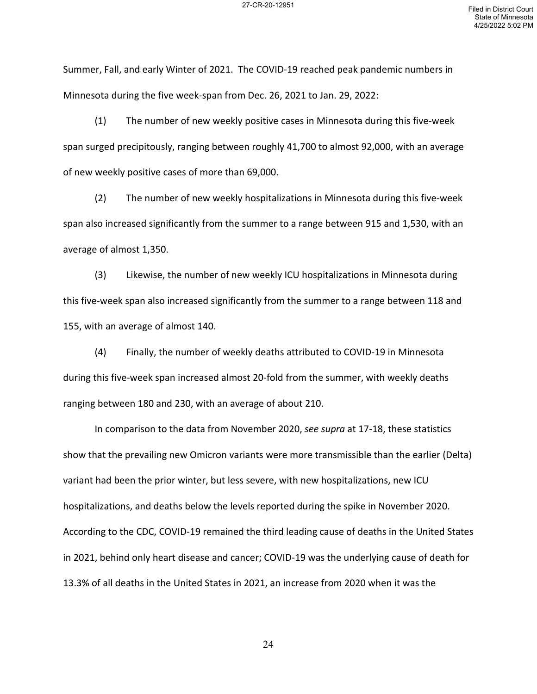Summer, Fall, and early Winter of 2021. The COVID-19 reached peak pandemic numbers in Minnesota during the five week-span from Dec. 26, 2021 to Jan. 29, 2022:

(1) The number of new weekly positive cases in Minnesota during this five-week span surged precipitously, ranging between roughly 41,700 to almost 92,000, with an average of new weekly positive cases of more than 69,000.

(2) The number of new weekly hospitalizations in Minnesota during this five-week span also increased significantly from the summer to a range between 915 and 1,530, with an average of almost 1,350.

(3) Likewise, the number of new weekly ICU hospitalizations in Minnesota during this five-week span also increased significantly from the summer to a range between 118 and 155, with an average of almost 140.

(4) Finally, the number of weekly deaths attributed to COVID-19 in Minnesota during this five-week span increased almost 20-fold from the summer, with weekly deaths ranging between 180 and 230, with an average of about 210.

In comparison to the data from November 2020, *see supra* at 17-18, these statistics show that the prevailing new Omicron variants were more transmissible than the earlier (Delta) variant had been the prior winter, but less severe, with new hospitalizations, new ICU hospitalizations, and deaths below the levels reported during the spike in November 2020. According to the CDC, COVID-19 remained the third leading cause of deaths in the United States in 2021, behind only heart disease and cancer; COVID-19 was the underlying cause of death for 13.3% of all deaths in the United States in 2021, an increase from 2020 when it was the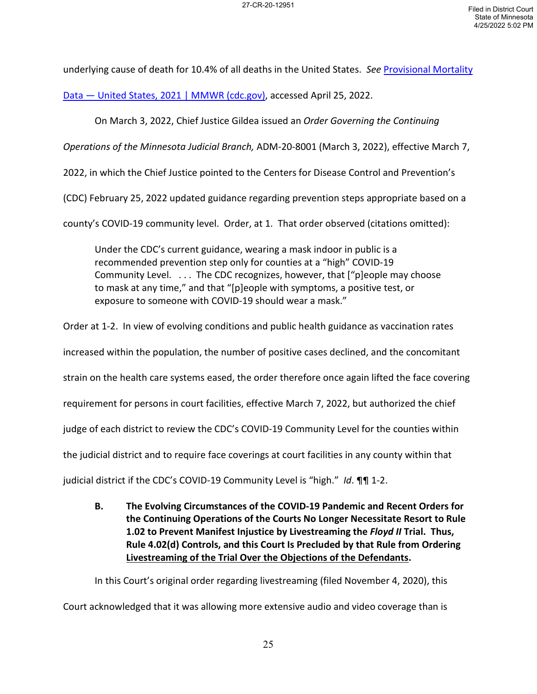underlying cause of death for 10.4% of all deaths in the United States. *See* [Provisional Mortality](https://www.cdc.gov/mmwr/volumes/71/wr/mm7117e1.htm?s_cid=mm7117e1_w) 

[Data — United States, 2021 | MMWR \(cdc.gov\),](https://www.cdc.gov/mmwr/volumes/71/wr/mm7117e1.htm?s_cid=mm7117e1_w) accessed April 25, 2022.

On March 3, 2022, Chief Justice Gildea issued an *Order Governing the Continuing* 

*Operations of the Minnesota Judicial Branch,* ADM-20-8001 (March 3, 2022), effective March 7,

2022, in which the Chief Justice pointed to the Centers for Disease Control and Prevention's

(CDC) February 25, 2022 updated guidance regarding prevention steps appropriate based on a

county's COVID-19 community level. Order, at 1. That order observed (citations omitted):

Under the CDC's current guidance, wearing a mask indoor in public is a recommended prevention step only for counties at a "high" COVID-19 Community Level. . . . The CDC recognizes, however, that ["p]eople may choose to mask at any time," and that "[p]eople with symptoms, a positive test, or exposure to someone with COVID-19 should wear a mask."

Order at 1-2. In view of evolving conditions and public health guidance as vaccination rates

increased within the population, the number of positive cases declined, and the concomitant

strain on the health care systems eased, the order therefore once again lifted the face covering

requirement for persons in court facilities, effective March 7, 2022, but authorized the chief

judge of each district to review the CDC's COVID-19 Community Level for the counties within

the judicial district and to require face coverings at court facilities in any county within that

judicial district if the CDC's COVID-19 Community Level is "high." *Id*. ¶¶ 1-2.

**B. The Evolving Circumstances of the COVID-19 Pandemic and Recent Orders for the Continuing Operations of the Courts No Longer Necessitate Resort to Rule 1.02 to Prevent Manifest Injustice by Livestreaming the** *Floyd II* **Trial. Thus, Rule 4.02(d) Controls, and this Court Is Precluded by that Rule from Ordering Livestreaming of the Trial Over the Objections of the Defendants.** 

In this Court's original order regarding livestreaming (filed November 4, 2020), this

Court acknowledged that it was allowing more extensive audio and video coverage than is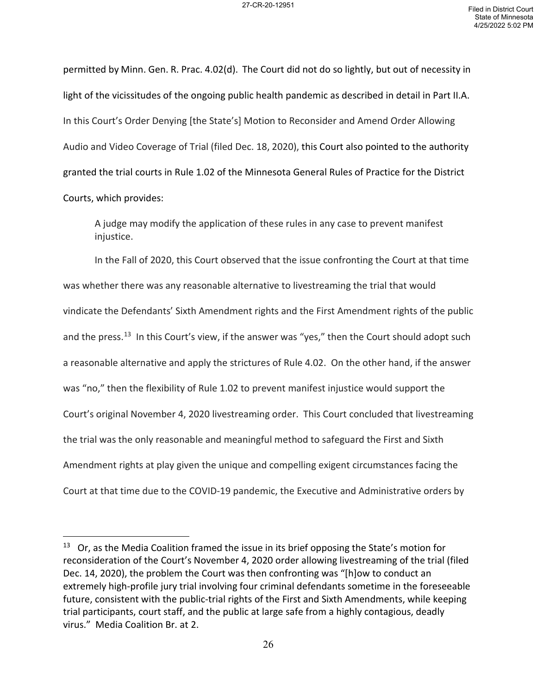permitted by Minn. Gen. R. Prac. 4.02(d). The Court did not do so lightly, but out of necessity in light of the vicissitudes of the ongoing public health pandemic as described in detail in Part II.A. In this Court's Order Denying [the State's] Motion to Reconsider and Amend Order Allowing Audio and Video Coverage of Trial (filed Dec. 18, 2020), this Court also pointed to the authority granted the trial courts in Rule 1.02 of the Minnesota General Rules of Practice for the District Courts, which provides:

A judge may modify the application of these rules in any case to prevent manifest injustice.

In the Fall of 2020, this Court observed that the issue confronting the Court at that time was whether there was any reasonable alternative to livestreaming the trial that would vindicate the Defendants' Sixth Amendment rights and the First Amendment rights of the public and the press.<sup>13</sup> In this Court's view, if the answer was "yes," then the Court should adopt such a reasonable alternative and apply the strictures of Rule 4.02. On the other hand, if the answer was "no," then the flexibility of Rule 1.02 to prevent manifest injustice would support the Court's original November 4, 2020 livestreaming order. This Court concluded that livestreaming the trial was the only reasonable and meaningful method to safeguard the First and Sixth Amendment rights at play given the unique and compelling exigent circumstances facing the Court at that time due to the COVID-19 pandemic, the Executive and Administrative orders by

<span id="page-25-0"></span><sup>&</sup>lt;sup>13</sup> Or, as the Media Coalition framed the issue in its brief opposing the State's motion for reconsideration of the Court's November 4, 2020 order allowing livestreaming of the trial (filed Dec. 14, 2020), the problem the Court was then confronting was "[h]ow to conduct an extremely high-profile jury trial involving four criminal defendants sometime in the foreseeable future, consistent with the public-trial rights of the First and Sixth Amendments, while keeping trial participants, court staff, and the public at large safe from a highly contagious, deadly virus." Media Coalition Br. at 2.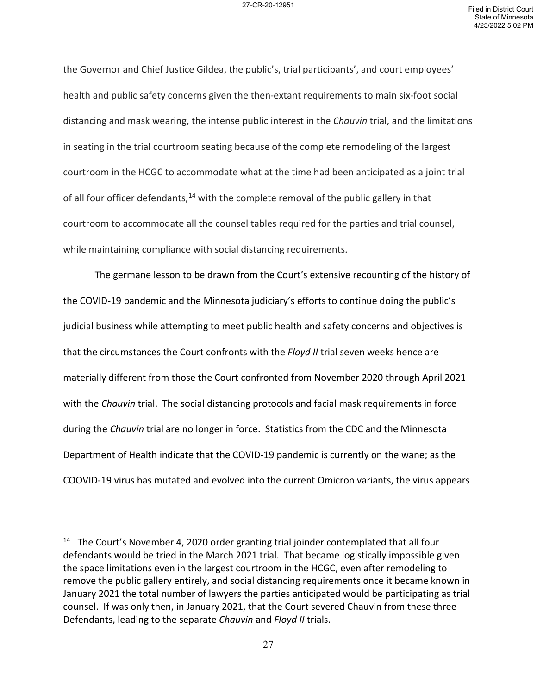the Governor and Chief Justice Gildea, the public's, trial participants', and court employees' health and public safety concerns given the then-extant requirements to main six-foot social distancing and mask wearing, the intense public interest in the *Chauvin* trial, and the limitations in seating in the trial courtroom seating because of the complete remodeling of the largest courtroom in the HCGC to accommodate what at the time had been anticipated as a joint trial of all four officer defendants,<sup>[14](#page-26-0)</sup> with the complete removal of the public gallery in that courtroom to accommodate all the counsel tables required for the parties and trial counsel, while maintaining compliance with social distancing requirements.

The germane lesson to be drawn from the Court's extensive recounting of the history of the COVID-19 pandemic and the Minnesota judiciary's efforts to continue doing the public's judicial business while attempting to meet public health and safety concerns and objectives is that the circumstances the Court confronts with the *Floyd II* trial seven weeks hence are materially different from those the Court confronted from November 2020 through April 2021 with the *Chauvin* trial. The social distancing protocols and facial mask requirements in force during the *Chauvin* trial are no longer in force. Statistics from the CDC and the Minnesota Department of Health indicate that the COVID-19 pandemic is currently on the wane; as the COOVID-19 virus has mutated and evolved into the current Omicron variants, the virus appears

<span id="page-26-0"></span><sup>&</sup>lt;sup>14</sup> The Court's November 4, 2020 order granting trial joinder contemplated that all four defendants would be tried in the March 2021 trial. That became logistically impossible given the space limitations even in the largest courtroom in the HCGC, even after remodeling to remove the public gallery entirely, and social distancing requirements once it became known in January 2021 the total number of lawyers the parties anticipated would be participating as trial counsel. If was only then, in January 2021, that the Court severed Chauvin from these three Defendants, leading to the separate *Chauvin* and *Floyd II* trials.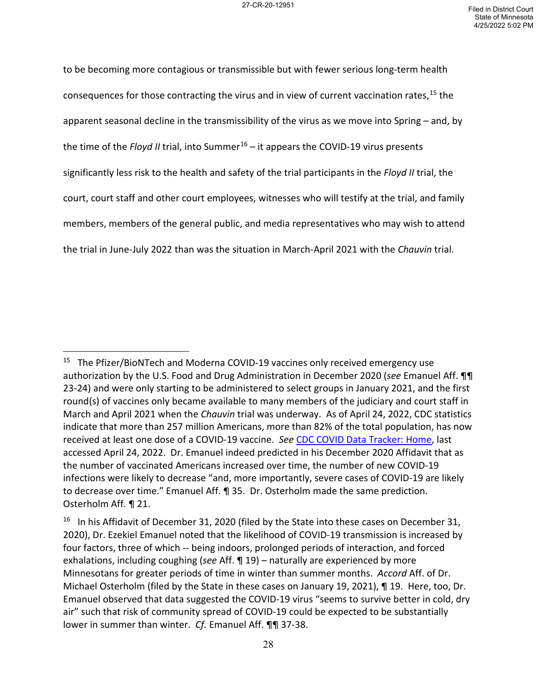to be becoming more contagious or transmissible but with fewer serious long-term health consequences for those contracting the virus and in view of current vaccination rates,<sup>[15](#page-27-0)</sup> the apparent seasonal decline in the transmissibility of the virus as we move into Spring – and, by the time of the *Floyd II* trial, into Summer[16](#page-27-1) – it appears the COVID-19 virus presents significantly less risk to the health and safety of the trial participants in the *Floyd II* trial, the court, court staff and other court employees, witnesses who will testify at the trial, and family members, members of the general public, and media representatives who may wish to attend the trial in June-July 2022 than was the situation in March-April 2021 with the *Chauvin* trial.

<span id="page-27-0"></span><sup>&</sup>lt;sup>15</sup> The Pfizer/BioNTech and Moderna COVID-19 vaccines only received emergency use authorization by the U.S. Food and Drug Administration in December 2020 (*see* Emanuel Aff. ¶¶ 23-24) and were only starting to be administered to select groups in January 2021, and the first round(s) of vaccines only became available to many members of the judiciary and court staff in March and April 2021 when the *Chauvin* trial was underway. As of April 24, 2022, CDC statistics indicate that more than 257 million Americans, more than 82% of the total population, has now received at least one dose of a COVID-19 vaccine. *See* [CDC COVID Data Tracker: Home,](https://covid.cdc.gov/covid-data-tracker/#datatracker-home) last accessed April 24, 2022. Dr. Emanuel indeed predicted in his December 2020 Affidavit that as the number of vaccinated Americans increased over time, the number of new COVID-19 infections were likely to decrease "and, more importantly, severe cases of COVID-19 are likely to decrease over time." Emanuel Aff. ¶ 35. Dr. Osterholm made the same prediction. Osterholm Aff. ¶ 21.

<span id="page-27-1"></span><sup>&</sup>lt;sup>16</sup> In his Affidavit of December 31, 2020 (filed by the State into these cases on December 31, 2020), Dr. Ezekiel Emanuel noted that the likelihood of COVID-19 transmission is increased by four factors, three of which -- being indoors, prolonged periods of interaction, and forced exhalations, including coughing (*see* Aff. ¶ 19) – naturally are experienced by more Minnesotans for greater periods of time in winter than summer months. *Accord* Aff. of Dr. Michael Osterholm (filed by the State in these cases on January 19, 2021), ¶ 19. Here, too, Dr. Emanuel observed that data suggested the COVID-19 virus "seems to survive better in cold, dry air" such that risk of community spread of COVID-19 could be expected to be substantially lower in summer than winter. *Cf.* Emanuel Aff. ¶¶ 37-38.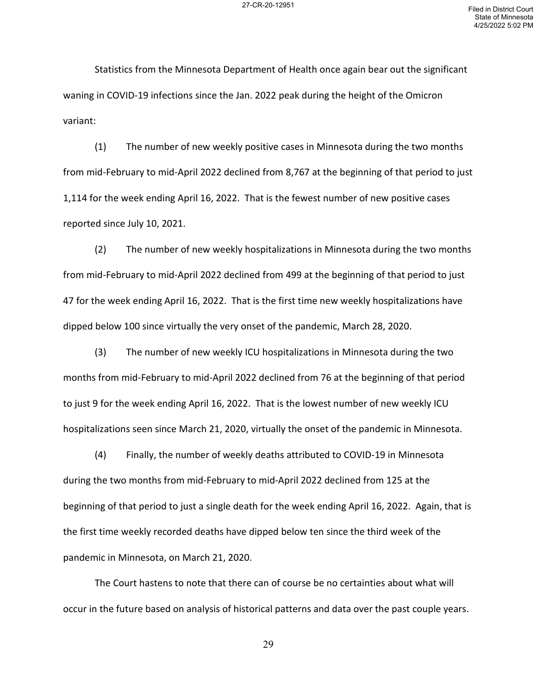Statistics from the Minnesota Department of Health once again bear out the significant waning in COVID-19 infections since the Jan. 2022 peak during the height of the Omicron variant:

(1) The number of new weekly positive cases in Minnesota during the two months from mid-February to mid-April 2022 declined from 8,767 at the beginning of that period to just 1,114 for the week ending April 16, 2022. That is the fewest number of new positive cases reported since July 10, 2021.

(2) The number of new weekly hospitalizations in Minnesota during the two months from mid-February to mid-April 2022 declined from 499 at the beginning of that period to just 47 for the week ending April 16, 2022. That is the first time new weekly hospitalizations have dipped below 100 since virtually the very onset of the pandemic, March 28, 2020.

(3) The number of new weekly ICU hospitalizations in Minnesota during the two months from mid-February to mid-April 2022 declined from 76 at the beginning of that period to just 9 for the week ending April 16, 2022. That is the lowest number of new weekly ICU hospitalizations seen since March 21, 2020, virtually the onset of the pandemic in Minnesota.

(4) Finally, the number of weekly deaths attributed to COVID-19 in Minnesota during the two months from mid-February to mid-April 2022 declined from 125 at the beginning of that period to just a single death for the week ending April 16, 2022. Again, that is the first time weekly recorded deaths have dipped below ten since the third week of the pandemic in Minnesota, on March 21, 2020.

The Court hastens to note that there can of course be no certainties about what will occur in the future based on analysis of historical patterns and data over the past couple years.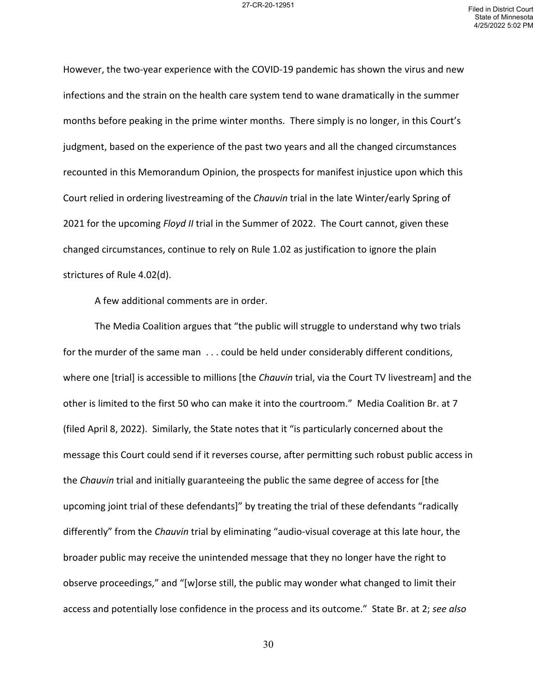However, the two-year experience with the COVID-19 pandemic has shown the virus and new infections and the strain on the health care system tend to wane dramatically in the summer months before peaking in the prime winter months. There simply is no longer, in this Court's judgment, based on the experience of the past two years and all the changed circumstances recounted in this Memorandum Opinion, the prospects for manifest injustice upon which this Court relied in ordering livestreaming of the *Chauvin* trial in the late Winter/early Spring of 2021 for the upcoming *Floyd II* trial in the Summer of 2022. The Court cannot, given these changed circumstances, continue to rely on Rule 1.02 as justification to ignore the plain strictures of Rule 4.02(d).

A few additional comments are in order.

The Media Coalition argues that "the public will struggle to understand why two trials for the murder of the same man . . . could be held under considerably different conditions, where one [trial] is accessible to millions [the *Chauvin* trial, via the Court TV livestream] and the other is limited to the first 50 who can make it into the courtroom." Media Coalition Br. at 7 (filed April 8, 2022). Similarly, the State notes that it "is particularly concerned about the message this Court could send if it reverses course, after permitting such robust public access in the *Chauvin* trial and initially guaranteeing the public the same degree of access for [the upcoming joint trial of these defendants]" by treating the trial of these defendants "radically differently" from the *Chauvin* trial by eliminating "audio-visual coverage at this late hour, the broader public may receive the unintended message that they no longer have the right to observe proceedings," and "[w]orse still, the public may wonder what changed to limit their access and potentially lose confidence in the process and its outcome." State Br. at 2; *see also*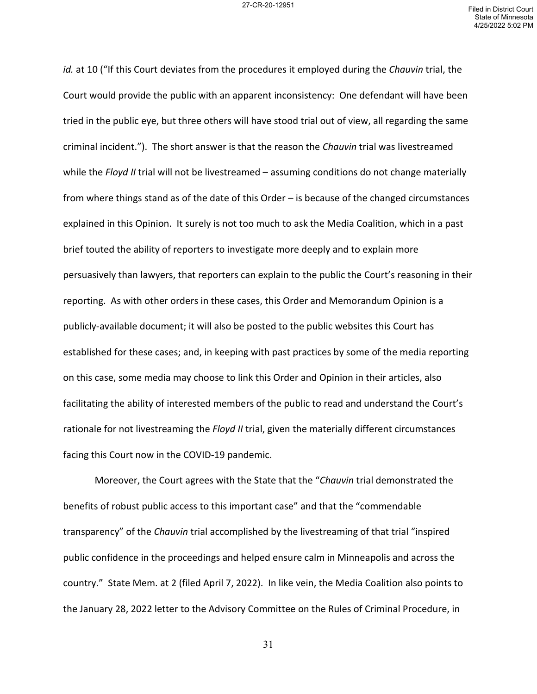*id.* at 10 ("If this Court deviates from the procedures it employed during the *Chauvin* trial, the Court would provide the public with an apparent inconsistency: One defendant will have been tried in the public eye, but three others will have stood trial out of view, all regarding the same criminal incident."). The short answer is that the reason the *Chauvin* trial was livestreamed while the *Floyd II* trial will not be livestreamed – assuming conditions do not change materially from where things stand as of the date of this Order – is because of the changed circumstances explained in this Opinion. It surely is not too much to ask the Media Coalition, which in a past brief touted the ability of reporters to investigate more deeply and to explain more persuasively than lawyers, that reporters can explain to the public the Court's reasoning in their reporting. As with other orders in these cases, this Order and Memorandum Opinion is a publicly-available document; it will also be posted to the public websites this Court has established for these cases; and, in keeping with past practices by some of the media reporting on this case, some media may choose to link this Order and Opinion in their articles, also facilitating the ability of interested members of the public to read and understand the Court's rationale for not livestreaming the *Floyd II* trial, given the materially different circumstances facing this Court now in the COVID-19 pandemic.

Moreover, the Court agrees with the State that the "*Chauvin* trial demonstrated the benefits of robust public access to this important case" and that the "commendable transparency" of the *Chauvin* trial accomplished by the livestreaming of that trial "inspired public confidence in the proceedings and helped ensure calm in Minneapolis and across the country." State Mem. at 2 (filed April 7, 2022). In like vein, the Media Coalition also points to the January 28, 2022 letter to the Advisory Committee on the Rules of Criminal Procedure, in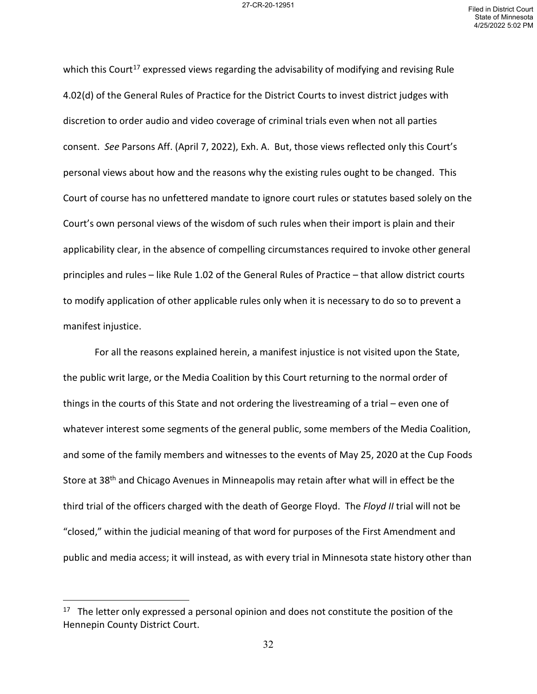which this Court<sup>[17](#page-31-0)</sup> expressed views regarding the advisability of modifying and revising Rule 4.02(d) of the General Rules of Practice for the District Courts to invest district judges with discretion to order audio and video coverage of criminal trials even when not all parties consent. *See* Parsons Aff. (April 7, 2022), Exh. A. But, those views reflected only this Court's personal views about how and the reasons why the existing rules ought to be changed. This Court of course has no unfettered mandate to ignore court rules or statutes based solely on the Court's own personal views of the wisdom of such rules when their import is plain and their applicability clear, in the absence of compelling circumstances required to invoke other general principles and rules – like Rule 1.02 of the General Rules of Practice – that allow district courts to modify application of other applicable rules only when it is necessary to do so to prevent a manifest injustice.

For all the reasons explained herein, a manifest injustice is not visited upon the State, the public writ large, or the Media Coalition by this Court returning to the normal order of things in the courts of this State and not ordering the livestreaming of a trial – even one of whatever interest some segments of the general public, some members of the Media Coalition, and some of the family members and witnesses to the events of May 25, 2020 at the Cup Foods Store at 38<sup>th</sup> and Chicago Avenues in Minneapolis may retain after what will in effect be the third trial of the officers charged with the death of George Floyd. The *Floyd II* trial will not be "closed," within the judicial meaning of that word for purposes of the First Amendment and public and media access; it will instead, as with every trial in Minnesota state history other than

<span id="page-31-0"></span> $17$  The letter only expressed a personal opinion and does not constitute the position of the Hennepin County District Court.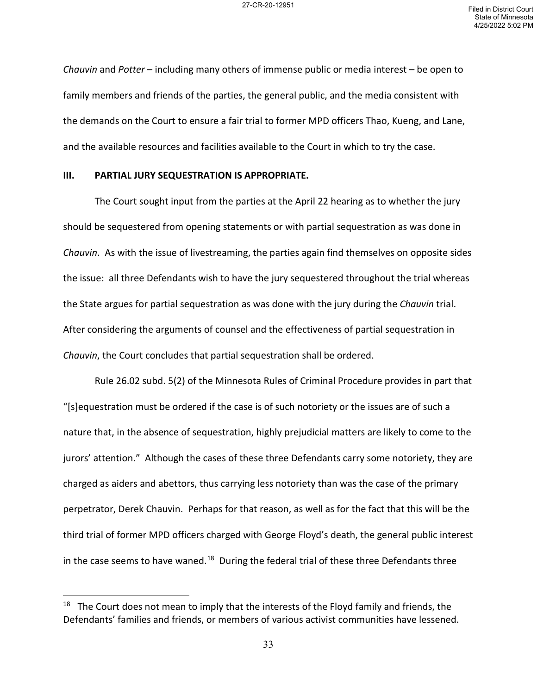*Chauvin* and *Potter* – including many others of immense public or media interest – be open to family members and friends of the parties, the general public, and the media consistent with the demands on the Court to ensure a fair trial to former MPD officers Thao, Kueng, and Lane, and the available resources and facilities available to the Court in which to try the case.

### **III. PARTIAL JURY SEQUESTRATION IS APPROPRIATE.**

The Court sought input from the parties at the April 22 hearing as to whether the jury should be sequestered from opening statements or with partial sequestration as was done in *Chauvin*. As with the issue of livestreaming, the parties again find themselves on opposite sides the issue: all three Defendants wish to have the jury sequestered throughout the trial whereas the State argues for partial sequestration as was done with the jury during the *Chauvin* trial. After considering the arguments of counsel and the effectiveness of partial sequestration in *Chauvin*, the Court concludes that partial sequestration shall be ordered.

Rule 26.02 subd. 5(2) of the Minnesota Rules of Criminal Procedure provides in part that "[s]equestration must be ordered if the case is of such notoriety or the issues are of such a nature that, in the absence of sequestration, highly prejudicial matters are likely to come to the jurors' attention." Although the cases of these three Defendants carry some notoriety, they are charged as aiders and abettors, thus carrying less notoriety than was the case of the primary perpetrator, Derek Chauvin. Perhaps for that reason, as well as for the fact that this will be the third trial of former MPD officers charged with George Floyd's death, the general public interest in the case seems to have waned.<sup>[18](#page-32-0)</sup> During the federal trial of these three Defendants three

<span id="page-32-0"></span> $18$  The Court does not mean to imply that the interests of the Floyd family and friends, the Defendants' families and friends, or members of various activist communities have lessened.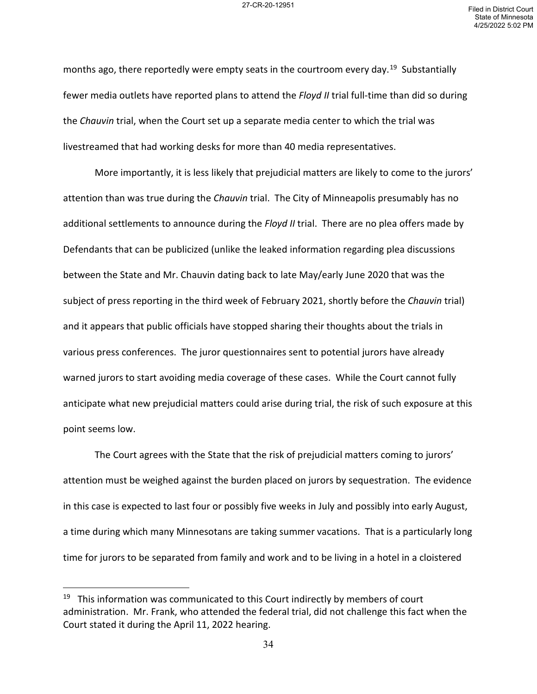months ago, there reportedly were empty seats in the courtroom every day.<sup>19</sup> Substantially fewer media outlets have reported plans to attend the *Floyd II* trial full-time than did so during the *Chauvin* trial, when the Court set up a separate media center to which the trial was livestreamed that had working desks for more than 40 media representatives.

More importantly, it is less likely that prejudicial matters are likely to come to the jurors' attention than was true during the *Chauvin* trial. The City of Minneapolis presumably has no additional settlements to announce during the *Floyd II* trial. There are no plea offers made by Defendants that can be publicized (unlike the leaked information regarding plea discussions between the State and Mr. Chauvin dating back to late May/early June 2020 that was the subject of press reporting in the third week of February 2021, shortly before the *Chauvin* trial) and it appears that public officials have stopped sharing their thoughts about the trials in various press conferences. The juror questionnaires sent to potential jurors have already warned jurors to start avoiding media coverage of these cases. While the Court cannot fully anticipate what new prejudicial matters could arise during trial, the risk of such exposure at this point seems low.

The Court agrees with the State that the risk of prejudicial matters coming to jurors' attention must be weighed against the burden placed on jurors by sequestration. The evidence in this case is expected to last four or possibly five weeks in July and possibly into early August, a time during which many Minnesotans are taking summer vacations. That is a particularly long time for jurors to be separated from family and work and to be living in a hotel in a cloistered

<span id="page-33-0"></span> $19$  This information was communicated to this Court indirectly by members of court administration. Mr. Frank, who attended the federal trial, did not challenge this fact when the Court stated it during the April 11, 2022 hearing.